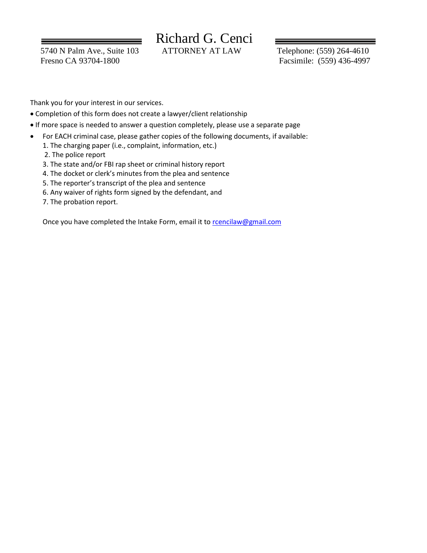5740 N Palm Ave., Suite 103 ATTORNEY AT LAW Telephone: (559) 264-4610 Fresno CA 93704-1800 Facsimile: (559) 436-4997

# Richard G. Cenci

Thank you for your interest in our services.

- Completion of this form does not create a lawyer/client relationship
- If more space is needed to answer a question completely, please use a separate page
- For EACH criminal case, please gather copies of the following documents, if available:
	- 1. The charging paper (i.e., complaint, information, etc.)
	- 2. The police report
	- 3. The state and/or FBI rap sheet or criminal history report
	- 4. The docket or clerk's minutes from the plea and sentence
	- 5. The reporter's transcript of the plea and sentence
	- 6. Any waiver of rights form signed by the defendant, and
	- 7. The probation report.

Once you have completed the Intake Form, email it to rencilaw@gmail.com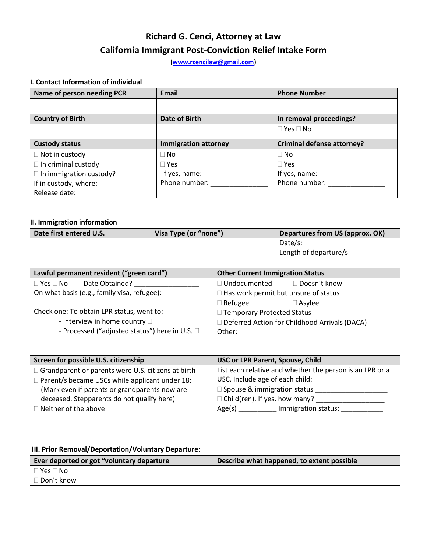## **Richard G. Cenci, Attorney at Law California Immigrant Post-Conviction Relief Intake Form**

**[\(www.rcencilaw@gmail.com\)](www.rcencilaw@gmail.com)**

### **I. Contact Information of individual**

| Name of person needing PCR     | <b>Email</b>                                    | <b>Phone Number</b>                             |
|--------------------------------|-------------------------------------------------|-------------------------------------------------|
|                                |                                                 |                                                 |
| <b>Country of Birth</b>        | <b>Date of Birth</b>                            | In removal proceedings?                         |
|                                |                                                 | $\Box$ Yes $\Box$ No                            |
| <b>Custody status</b>          | <b>Immigration attorney</b>                     | <b>Criminal defense attorney?</b>               |
| $\Box$ Not in custody          | $\square$ No                                    | $\Box$ No                                       |
| $\Box$ In criminal custody     | $\Box$ Yes                                      | $\Box$ Yes                                      |
| $\Box$ In immigration custody? | If yes, name: $\frac{1}{\sqrt{1-\frac{1}{2}}}\$ | If yes, name: $\frac{1}{\sqrt{1-\frac{1}{2}}}\$ |
| If in custody, where:          | Phone number:                                   | Phone number:                                   |
| Release date:                  |                                                 |                                                 |

#### **II. Immigration information**

| Date first entered U.S. | Visa Type (or "none") | Departures from US (approx. OK) |  |
|-------------------------|-----------------------|---------------------------------|--|
|                         |                       | Date/s:                         |  |
|                         |                       | Length of departure/s           |  |

| Lawful permanent resident ("green card")              | <b>Other Current Immigration Status</b>                  |  |  |
|-------------------------------------------------------|----------------------------------------------------------|--|--|
| $\square$ Yes $\square$ No<br>Date Obtained?          | $\Box$ Undocumented<br>□ Doesn't know                    |  |  |
| On what basis (e.g., family visa, refugee):           | $\Box$ Has work permit but unsure of status              |  |  |
|                                                       | $\Box$ Refugee<br>$\Box$ Asylee                          |  |  |
| Check one: To obtain LPR status, went to:             | □ Temporary Protected Status                             |  |  |
| - Interview in home country $\square$                 | $\Box$ Deferred Action for Childhood Arrivals (DACA)     |  |  |
| - Processed ("adjusted status") here in U.S. $\Box$   | Other:                                                   |  |  |
|                                                       |                                                          |  |  |
|                                                       |                                                          |  |  |
| Screen for possible U.S. citizenship                  | <b>USC or LPR Parent, Spouse, Child</b>                  |  |  |
| Grandparent or parents were U.S. citizens at birth    | List each relative and whether the person is an LPR or a |  |  |
| $\Box$ Parent/s became USCs while applicant under 18; | USC. Include age of each child:                          |  |  |
| (Mark even if parents or grandparents now are         | $\Box$ Spouse & immigration status                       |  |  |
| deceased. Stepparents do not qualify here)            | $\Box$ Child(ren). If yes, how many?                     |  |  |
| $\Box$ Neither of the above                           | Age(s) Immigration status:                               |  |  |
|                                                       |                                                          |  |  |

### **III. Prior Removal/Deportation/Voluntary Departure:**

| Ever deported or got "voluntary departure | Describe what happened, to extent possible |
|-------------------------------------------|--------------------------------------------|
| $\blacksquare$ Yes $\square$ No           |                                            |
| □ Don't know                              |                                            |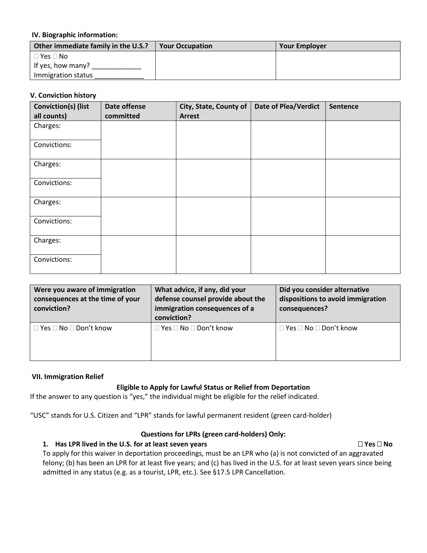#### **IV. Biographic information:**

| Other immediate family in the U.S.? | <b>Your Occupation</b> | <b>Your Employer</b> |
|-------------------------------------|------------------------|----------------------|
| $\Box$ Yes $\Box$ No                |                        |                      |
| If yes, how many?                   |                        |                      |
| Immigration status                  |                        |                      |

#### **V. Conviction history**

| <b>Conviction(s) (list</b><br>all counts) | Date offense<br>committed | City, State, County of<br><b>Arrest</b> | <b>Date of Plea/Verdict</b> | Sentence |
|-------------------------------------------|---------------------------|-----------------------------------------|-----------------------------|----------|
| Charges:                                  |                           |                                         |                             |          |
| Convictions:                              |                           |                                         |                             |          |
| Charges:                                  |                           |                                         |                             |          |
| Convictions:                              |                           |                                         |                             |          |
| Charges:                                  |                           |                                         |                             |          |
| Convictions:                              |                           |                                         |                             |          |
| Charges:                                  |                           |                                         |                             |          |
| Convictions:                              |                           |                                         |                             |          |

| Were you aware of immigration<br>consequences at the time of your<br>conviction? | What advice, if any, did your<br>defense counsel provide about the<br>immigration consequences of a<br>conviction? | Did you consider alternative<br>dispositions to avoid immigration<br>consequences? |
|----------------------------------------------------------------------------------|--------------------------------------------------------------------------------------------------------------------|------------------------------------------------------------------------------------|
| $\Box$ Yes $\Box$ No $\Box$ Don't know                                           | $\Box$ Yes $\Box$ No $\Box$ Don't know                                                                             | l Yes □ No □ Don't know                                                            |

#### **VII. Immigration Relief**

### **Eligible to Apply for Lawful Status or Relief from Deportation**

If the answer to any question is "yes," the individual might be eligible for the relief indicated.

"USC" stands for U.S. Citizen and "LPR" stands for lawful permanent resident (green card-holder)

### **Questions for LPRs (green card-holders) Only:**

#### **1. Has LPR lived in the U.S. for at least seven years <b>Accord 2018 CONS**  $\Box$  Yes  $\Box$  No

To apply for this waiver in deportation proceedings, must be an LPR who (a) is not convicted of an aggravated felony; (b) has been an LPR for at least five years; and (c) has lived in the U.S. for at least seven years since being admitted in any status (e.g. as a tourist, LPR, etc.). See §17.5 LPR Cancellation.